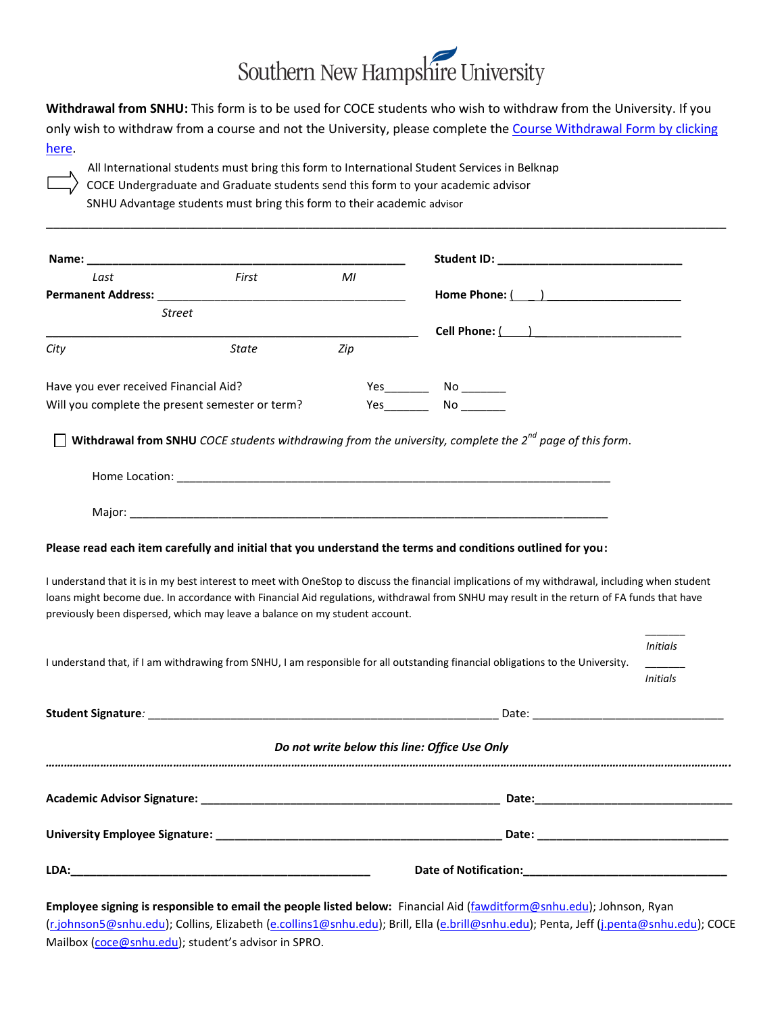## Southern New Hampshire University

**Withdrawal from SNHU:** This form is to be used for COCE students who wish to withdraw from the University. If you

only wish to withdraw from a course and not the University, please complete the Course Withdrawal Form by clicking [here.](https://my.snhu.edu/Offices/COCE/Advising/_layouts/FormServer.aspx?XsnLocation=https://my.snhu.edu/FormServerTemplates/COCE.Withdrawal.revised.form.xsn&SaveLocation=https%3A%2F%2Fmy%2Esnhu%2Eedu%2FOffices%2FCOCE%2FAdvising%2FCourse%20Withdrawal%20Library&Source=https%3A%2F%2Fmy%2Esnhu%2Eedu%2FOffices%2FCOCE%2FAdvising%2FCourse%2520Withdrawal%2520Library%2FForms%2F1%2520%2520Advisor%2520View%2Easpx&DefaultItemOpen=1)

\_\_\_\_\_\_\_\_\_\_\_\_\_\_\_\_\_\_\_\_\_\_\_\_\_\_\_\_\_\_\_\_\_\_\_\_\_\_\_\_\_\_\_\_\_\_\_\_\_\_\_\_\_\_\_\_\_\_\_\_\_\_\_\_\_\_\_\_\_\_\_\_\_\_\_\_\_\_\_\_\_\_\_\_\_\_\_\_\_\_\_\_\_\_\_\_\_

All International students must bring this form to International Student Services in Belknap COCE Undergraduate and Graduate students send this form to your academic advisor SNHU Advantage students must bring this form to their academic advisor

| Last                                                                        | Name: when the contract of the contract of the contract of the contract of the contract of the contract of the contract of the contract of the contract of the contract of the contract of the contract of the contract of the |     |                                                                                                                                                                                                                                                                                                                                                                                                                                                                                                                            |                 |
|-----------------------------------------------------------------------------|--------------------------------------------------------------------------------------------------------------------------------------------------------------------------------------------------------------------------------|-----|----------------------------------------------------------------------------------------------------------------------------------------------------------------------------------------------------------------------------------------------------------------------------------------------------------------------------------------------------------------------------------------------------------------------------------------------------------------------------------------------------------------------------|-----------------|
|                                                                             | First                                                                                                                                                                                                                          | MI  |                                                                                                                                                                                                                                                                                                                                                                                                                                                                                                                            |                 |
|                                                                             |                                                                                                                                                                                                                                |     | Home Phone: ( )                                                                                                                                                                                                                                                                                                                                                                                                                                                                                                            |                 |
| <b>Street</b>                                                               |                                                                                                                                                                                                                                |     |                                                                                                                                                                                                                                                                                                                                                                                                                                                                                                                            |                 |
|                                                                             | <b>State</b>                                                                                                                                                                                                                   | Zip | Cell Phone: ( ) ______________________                                                                                                                                                                                                                                                                                                                                                                                                                                                                                     |                 |
| City                                                                        |                                                                                                                                                                                                                                |     |                                                                                                                                                                                                                                                                                                                                                                                                                                                                                                                            |                 |
| Have you ever received Financial Aid?                                       |                                                                                                                                                                                                                                |     |                                                                                                                                                                                                                                                                                                                                                                                                                                                                                                                            |                 |
| Will you complete the present semester or term?                             |                                                                                                                                                                                                                                |     |                                                                                                                                                                                                                                                                                                                                                                                                                                                                                                                            |                 |
| previously been dispersed, which may leave a balance on my student account. |                                                                                                                                                                                                                                |     | Withdrawal from SNHU COCE students withdrawing from the university, complete the $2^{nd}$ page of this form.<br>Please read each item carefully and initial that you understand the terms and conditions outlined for you:<br>I understand that it is in my best interest to meet with OneStop to discuss the financial implications of my withdrawal, including when student<br>loans might become due. In accordance with Financial Aid regulations, withdrawal from SNHU may result in the return of FA funds that have |                 |
|                                                                             |                                                                                                                                                                                                                                |     |                                                                                                                                                                                                                                                                                                                                                                                                                                                                                                                            |                 |
|                                                                             |                                                                                                                                                                                                                                |     |                                                                                                                                                                                                                                                                                                                                                                                                                                                                                                                            | <b>Initials</b> |
|                                                                             |                                                                                                                                                                                                                                |     | I understand that, if I am withdrawing from SNHU, I am responsible for all outstanding financial obligations to the University.                                                                                                                                                                                                                                                                                                                                                                                            | <b>Initials</b> |
|                                                                             |                                                                                                                                                                                                                                |     | Student Signature: National Communication of Date: National Communication of Date: National Communication of Date:                                                                                                                                                                                                                                                                                                                                                                                                         |                 |
|                                                                             |                                                                                                                                                                                                                                |     | Do not write below this line: Office Use Only                                                                                                                                                                                                                                                                                                                                                                                                                                                                              |                 |
|                                                                             |                                                                                                                                                                                                                                |     |                                                                                                                                                                                                                                                                                                                                                                                                                                                                                                                            |                 |
|                                                                             |                                                                                                                                                                                                                                |     |                                                                                                                                                                                                                                                                                                                                                                                                                                                                                                                            |                 |

Employee signing is responsible to email the people listed below: Financial Aid [\(fawditform@snhu.edu\)](mailto:fawditform@snhu.edu); Johnson, Ryan [\(r.johnson5@snhu.edu\)](mailto:r.johnson5@snhu.edu); Collins, Elizabeth [\(e.collins1@snhu.edu\)](mailto:e.collins1@snhu.edu); Brill, Ella [\(e.brill@snhu.edu\)](mailto:e.brill@snhu.edu); Penta, Jeff [\(j.penta@snhu.edu\)](mailto:j.penta@snhu.edu); COCE Mailbox [\(coce@snhu.edu\)](mailto:coce@snhu.edu); student's advisor in SPRO.